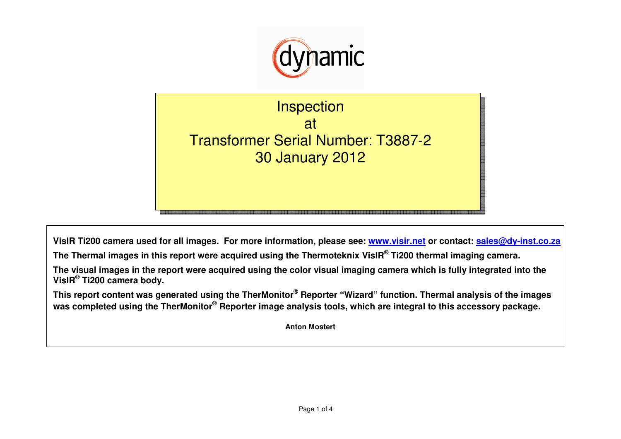

**Inspection** at Transformer Serial Number: T3887-2 30 January 2012

**VisIR Ti200 camera used for all images. For more information, please see: www.visir.net or contact: sales@dy-inst.co.za**

**The Thermal images in this report were acquired using the Thermoteknix VisIR® Ti200 thermal imaging camera.** 

**The visual images in the report were acquired using the color visual imaging camera which is fully integrated into the VisIR® Ti200 camera body.** 

**This report content was generated using the TherMonitor® Reporter "Wizard" function. Thermal analysis of the images was completed using the TherMonitor® Reporter image analysis tools, which are integral to this accessory package.**

**Anton Mostert**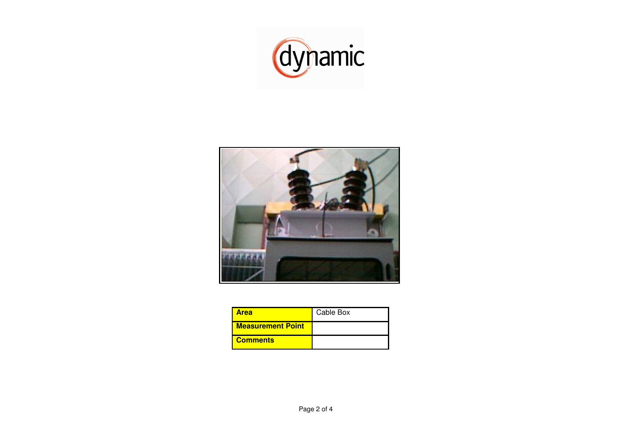



| Area                     | Cable Box |
|--------------------------|-----------|
| <b>Measurement Point</b> |           |
| <b>Comments</b>          |           |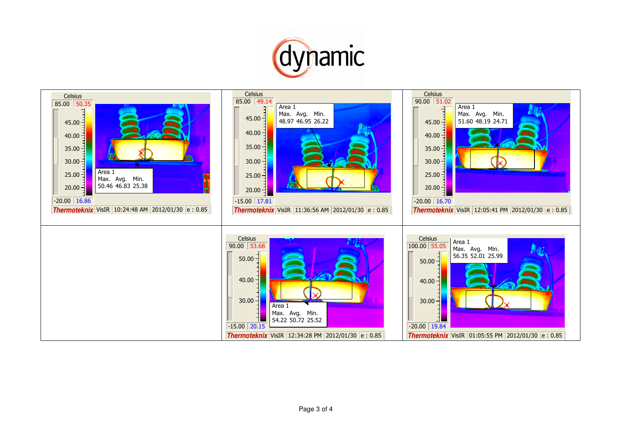